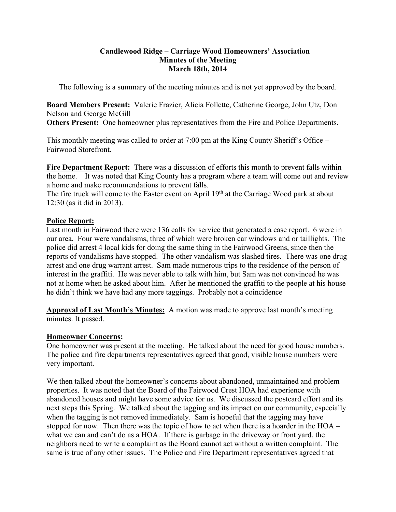#### **Candlewood Ridge – Carriage Wood Homeowners' Association Minutes of the Meeting March 18th, 2014**

The following is a summary of the meeting minutes and is not yet approved by the board.

**Board Members Present:** Valerie Frazier, Alicia Follette, Catherine George, John Utz, Don Nelson and George McGill

**Others Present:** One homeowner plus representatives from the Fire and Police Departments.

This monthly meeting was called to order at 7:00 pm at the King County Sheriff's Office – Fairwood Storefront.

**Fire Department Report:** There was a discussion of efforts this month to prevent falls within the home. It was noted that King County has a program where a team will come out and review a home and make recommendations to prevent falls.

The fire truck will come to the Easter event on April  $19<sup>th</sup>$  at the Carriage Wood park at about 12:30 (as it did in 2013).

# **Police Report:**

Last month in Fairwood there were 136 calls for service that generated a case report. 6 were in our area. Four were vandalisms, three of which were broken car windows and or taillights. The police did arrest 4 local kids for doing the same thing in the Fairwood Greens, since then the reports of vandalisms have stopped. The other vandalism was slashed tires. There was one drug arrest and one drug warrant arrest. Sam made numerous trips to the residence of the person of interest in the graffiti. He was never able to talk with him, but Sam was not convinced he was not at home when he asked about him. After he mentioned the graffiti to the people at his house he didn't think we have had any more taggings. Probably not a coincidence

**Approval of Last Month's Minutes:** A motion was made to approve last month's meeting minutes. It passed.

#### **Homeowner Concerns:**

One homeowner was present at the meeting. He talked about the need for good house numbers. The police and fire departments representatives agreed that good, visible house numbers were very important.

We then talked about the homeowner's concerns about abandoned, unmaintained and problem properties. It was noted that the Board of the Fairwood Crest HOA had experience with abandoned houses and might have some advice for us. We discussed the postcard effort and its next steps this Spring. We talked about the tagging and its impact on our community, especially when the tagging is not removed immediately. Sam is hopeful that the tagging may have stopped for now. Then there was the topic of how to act when there is a hoarder in the HOA – what we can and can't do as a HOA. If there is garbage in the driveway or front yard, the neighbors need to write a complaint as the Board cannot act without a written complaint. The same is true of any other issues. The Police and Fire Department representatives agreed that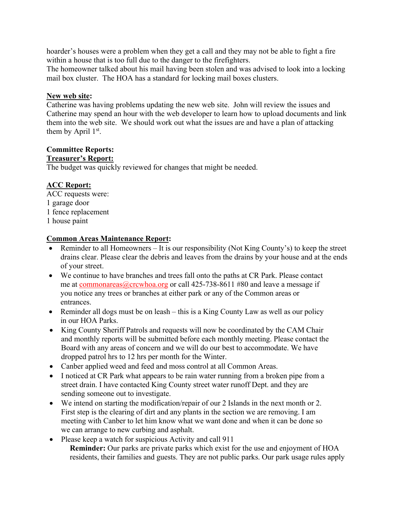hoarder's houses were a problem when they get a call and they may not be able to fight a fire within a house that is too full due to the danger to the firefighters.

The homeowner talked about his mail having been stolen and was advised to look into a locking mail box cluster. The HOA has a standard for locking mail boxes clusters.

# **New web site:**

Catherine was having problems updating the new web site. John will review the issues and Catherine may spend an hour with the web developer to learn how to upload documents and link them into the web site. We should work out what the issues are and have a plan of attacking them by April  $1<sup>st</sup>$ .

## **Committee Reports:**

## **Treasurer's Report:**

The budget was quickly reviewed for changes that might be needed.

# **ACC Report:**

ACC requests were: 1 garage door 1 fence replacement 1 house paint

# **Common Areas Maintenance Report:**

- Reminder to all Homeowners It is our responsibility (Not King County's) to keep the street drains clear. Please clear the debris and leaves from the drains by your house and at the ends of your street.
- We continue to have branches and trees fall onto the paths at CR Park. Please contact me at commonareas@crcwhoa.org or call 425-738-8611 #80 and leave a message if you notice any trees or branches at either park or any of the Common areas or entrances.
- Reminder all dogs must be on leash this is a King County Law as well as our policy in our HOA Parks.
- King County Sheriff Patrols and requests will now be coordinated by the CAM Chair and monthly reports will be submitted before each monthly meeting. Please contact the Board with any areas of concern and we will do our best to accommodate. We have dropped patrol hrs to 12 hrs per month for the Winter.
- Canber applied weed and feed and moss control at all Common Areas.
- I noticed at CR Park what appears to be rain water running from a broken pipe from a street drain. I have contacted King County street water runoff Dept. and they are sending someone out to investigate.
- We intend on starting the modification/repair of our 2 Islands in the next month or 2. First step is the clearing of dirt and any plants in the section we are removing. I am meeting with Canber to let him know what we want done and when it can be done so we can arrange to new curbing and asphalt.
- Please keep a watch for suspicious Activity and call 911 **Reminder:** Our parks are private parks which exist for the use and enjoyment of HOA residents, their families and guests. They are not public parks. Our park usage rules apply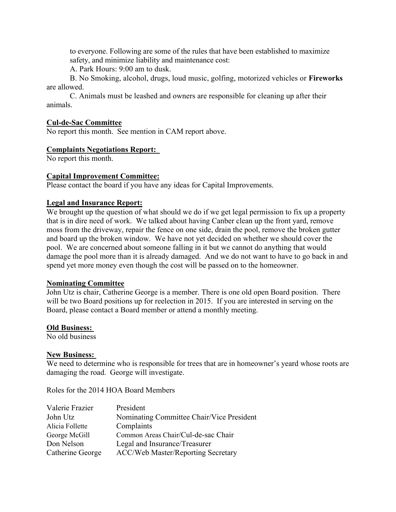to everyone. Following are some of the rules that have been established to maximize safety, and minimize liability and maintenance cost:

A. Park Hours: 9:00 am to dusk.

B. No Smoking, alcohol, drugs, loud music, golfing, motorized vehicles or **Fireworks**  are allowed.

C. Animals must be leashed and owners are responsible for cleaning up after their animals.

#### **Cul-de-Sac Committee**

No report this month. See mention in CAM report above.

## **Complaints Negotiations Report:**

No report this month.

## **Capital Improvement Committee:**

Please contact the board if you have any ideas for Capital Improvements.

## **Legal and Insurance Report:**

We brought up the question of what should we do if we get legal permission to fix up a property that is in dire need of work. We talked about having Canber clean up the front yard, remove moss from the driveway, repair the fence on one side, drain the pool, remove the broken gutter and board up the broken window. We have not yet decided on whether we should cover the pool. We are concerned about someone falling in it but we cannot do anything that would damage the pool more than it is already damaged. And we do not want to have to go back in and spend yet more money even though the cost will be passed on to the homeowner.

#### **Nominating Committee**

John Utz is chair, Catherine George is a member. There is one old open Board position. There will be two Board positions up for reelection in 2015. If you are interested in serving on the Board, please contact a Board member or attend a monthly meeting.

#### **Old Business:**

No old business

#### **New Business:**

We need to determine who is responsible for trees that are in homeowner's yeard whose roots are damaging the road. George will investigate.

Roles for the 2014 HOA Board Members

| Valerie Frazier  | President                                 |
|------------------|-------------------------------------------|
| John Utz         | Nominating Committee Chair/Vice President |
| Alicia Follette  | Complaints                                |
| George McGill    | Common Areas Chair/Cul-de-sac Chair       |
| Don Nelson       | Legal and Insurance/Treasurer             |
| Catherine George | <b>ACC/Web Master/Reporting Secretary</b> |